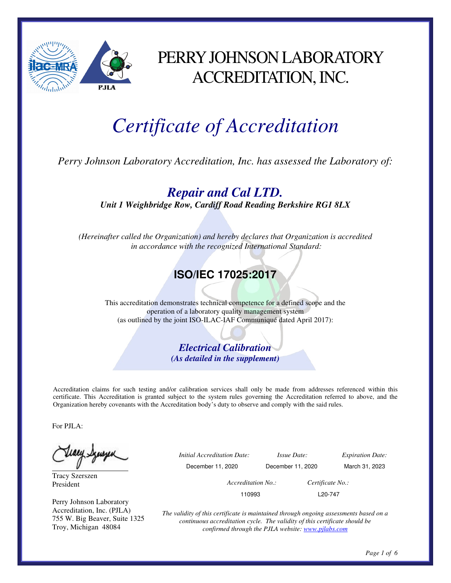

# PERRY JOHNSON LABORATORY ACCREDITATION, INC.

# *Certificate of Accreditation*

*Perry Johnson Laboratory Accreditation, Inc. has assessed the Laboratory of:* 

*Repair and Cal LTD.* 

*Unit 1 Weighbridge Row, Cardiff Road Reading Berkshire RG1 8LX* 

*(Hereinafter called the Organization) and hereby declares that Organization is accredited in accordance with the recognized International Standard:* 

## **ISO/IEC 17025:2017**

This accreditation demonstrates technical competence for a defined scope and the operation of a laboratory quality management system (as outlined by the joint ISO-ILAC-IAF Communiqué dated April 2017):

> *Electrical Calibration (As detailed in the supplement)*

Accreditation claims for such testing and/or calibration services shall only be made from addresses referenced within this certificate. This Accreditation is granted subject to the system rules governing the Accreditation referred to above, and the Organization hereby covenants with the Accreditation body's duty to observe and comply with the said rules.

For PJLA:

Teacy Synsyer

Tracy Szerszen President

Perry Johnson Laboratory Accreditation, Inc. (PJLA) 755 W. Big Beaver, Suite 1325 Troy, Michigan 48084

| ٮ | <i>Initial Accreditation Date:</i> | <i>Issue Date:</i> | <i>Expiration Date:</i> |
|---|------------------------------------|--------------------|-------------------------|
|   | December 11, 2020                  | December 11, 2020  | March 31, 2023          |
|   | Accreditation No.:                 |                    | Certificate No.:        |
|   | 110993                             |                    | L <sub>20</sub> -747    |

*The validity of this certificate is maintained through ongoing assessments based on a continuous accreditation cycle. The validity of this certificate should be confirmed through the PJLA website: www.pjlabs.com*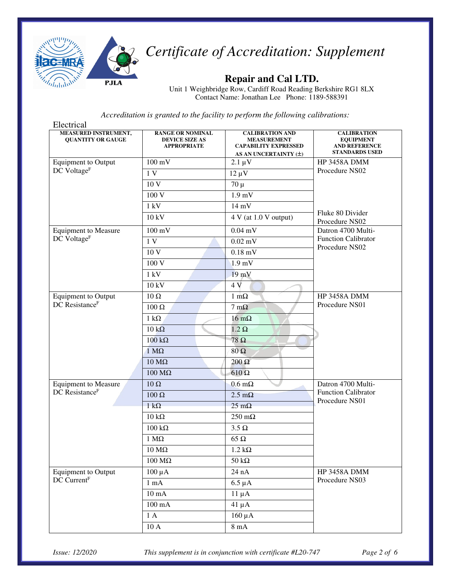

## **Repair and Cal LTD.**

Unit 1 Weighbridge Row, Cardiff Road Reading Berkshire RG1 8LX Contact Name: Jonathan Lee Phone: 1189-588391

*Accreditation is granted to the facility to perform the following calibrations:*

| Electrical                                       |                                                                        |                                                                                                          |                                                                                         |
|--------------------------------------------------|------------------------------------------------------------------------|----------------------------------------------------------------------------------------------------------|-----------------------------------------------------------------------------------------|
| MEASURED INSTRUMENT,<br><b>QUANTITY OR GAUGE</b> | <b>RANGE OR NOMINAL</b><br><b>DEVICE SIZE AS</b><br><b>APPROPRIATE</b> | <b>CALIBRATION AND</b><br><b>MEASUREMENT</b><br><b>CAPABILITY EXPRESSED</b><br>AS AN UNCERTAINTY $(\pm)$ | <b>CALIBRATION</b><br><b>EQUIPMENT</b><br><b>AND REFERENCE</b><br><b>STANDARDS USED</b> |
| <b>Equipment</b> to Output                       | $100 \text{ mV}$                                                       | $2.1 \mu V$                                                                                              | HP 3458A DMM                                                                            |
| DC Voltage <sup>F</sup>                          | 1V                                                                     | $12 \mu V$                                                                                               | Procedure NS02                                                                          |
|                                                  | 10 <sub>V</sub>                                                        | $70 \mu$                                                                                                 |                                                                                         |
|                                                  | 100 V                                                                  | $1.9$ mV                                                                                                 |                                                                                         |
|                                                  | 1 kV                                                                   | $14 \text{ mV}$                                                                                          |                                                                                         |
|                                                  | 10 kV                                                                  | 4 V (at 1.0 V output)                                                                                    | Fluke 80 Divider<br>Procedure NS02                                                      |
| <b>Equipment to Measure</b>                      | $100 \text{ mV}$                                                       | $0.04$ mV                                                                                                | Datron 4700 Multi-<br><b>Function Calibrator</b>                                        |
| DC Voltage <sup>F</sup>                          | 1V                                                                     | $0.02$ mV                                                                                                |                                                                                         |
|                                                  | 10 V                                                                   | $0.18$ mV                                                                                                | Procedure NS02                                                                          |
|                                                  | 100 V                                                                  | 1.9 <sub>mV</sub>                                                                                        |                                                                                         |
|                                                  | $1 \text{ kV}$                                                         | $19$ mV                                                                                                  |                                                                                         |
|                                                  | 10 kV                                                                  | 4V                                                                                                       |                                                                                         |
| <b>Equipment</b> to Output                       | $10\,\Omega$                                                           | $1 \text{ m}\Omega$                                                                                      | HP 3458A DMM                                                                            |
| DC Resistance <sup>F</sup>                       | 100 Ω                                                                  | $7 \text{ mA}$                                                                                           | Procedure NS01                                                                          |
|                                                  | 1 k $\Omega$                                                           | $16 \text{ m}\Omega$                                                                                     |                                                                                         |
|                                                  | $10 k\Omega$                                                           | $1.2 \Omega$                                                                                             |                                                                                         |
|                                                  | $100 k\Omega$                                                          | 78 $\Omega$                                                                                              |                                                                                         |
|                                                  | $1 M\Omega$                                                            | $80\ \Omega$                                                                                             |                                                                                         |
|                                                  | $10 \text{ M}\Omega$                                                   | $200 \Omega$                                                                                             |                                                                                         |
|                                                  | $100$ ΜΩ                                                               | $610 \Omega$                                                                                             |                                                                                         |
| <b>Equipment to Measure</b>                      | $10\ \Omega$                                                           | $0.6 \text{ m}\Omega$                                                                                    | Datron 4700 Multi-                                                                      |
| DC Resistance <sup>F</sup>                       | 100 Ω                                                                  | $2.5 \text{ m}\Omega$                                                                                    | <b>Function Calibrator</b><br>Procedure NS01                                            |
|                                                  | $1 \text{ k}\Omega$                                                    | $25 \text{ mA}$                                                                                          |                                                                                         |
|                                                  | $10 \text{ k}\Omega$                                                   | $250 \text{ m}\Omega$                                                                                    |                                                                                         |
|                                                  | $100 \text{ k}\Omega$                                                  | $3.5 \Omega$                                                                                             |                                                                                         |
|                                                  | $1\ \mathrm{M}\Omega$                                                  | $65 \Omega$                                                                                              |                                                                                         |
|                                                  | $10 \text{ M}\Omega$                                                   | $1.2 \text{ k}\Omega$                                                                                    |                                                                                         |
|                                                  | $100\ \mathrm{M}\Omega$                                                | $50\ \mathrm{k}\Omega$                                                                                   |                                                                                         |
| <b>Equipment to Output</b>                       | $100 \mu A$                                                            | 24 nA                                                                                                    | HP 3458A DMM<br>Procedure NS03                                                          |
| DC Current <sup>F</sup>                          | $1 \text{ mA}$                                                         | $6.5 \mu A$                                                                                              |                                                                                         |
|                                                  | $10 \text{ mA}$                                                        | $11 \mu A$                                                                                               |                                                                                         |
|                                                  | $100 \text{ mA}$                                                       | $41 \mu A$                                                                                               |                                                                                         |
|                                                  | 1A                                                                     | $160 \mu A$                                                                                              |                                                                                         |
|                                                  | $10\ \mathrm{A}$                                                       | $8\ \mathrm{mA}$                                                                                         |                                                                                         |

*Issue: 12/2020 This supplement is in conjunction with certificate #L20-747 Page 2 of 6*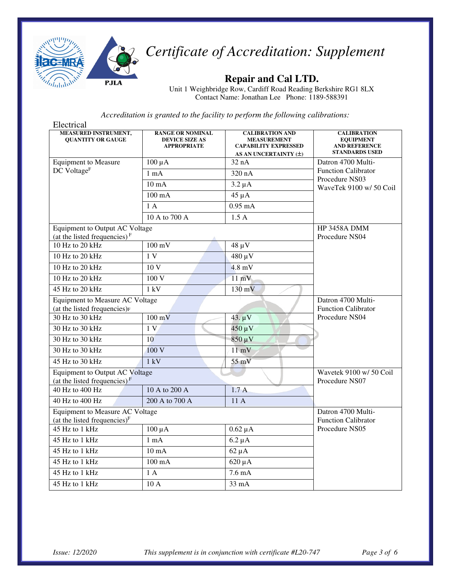

## **Repair and Cal LTD.**

Unit 1 Weighbridge Row, Cardiff Road Reading Berkshire RG1 8LX Contact Name: Jonathan Lee Phone: 1189-588391

| Electrical                                                                  |                                                                        |                                                                                                      |                                                                                         |
|-----------------------------------------------------------------------------|------------------------------------------------------------------------|------------------------------------------------------------------------------------------------------|-----------------------------------------------------------------------------------------|
| <b>MEASURED INSTRUMENT,</b><br><b>OUANTITY OR GAUGE</b>                     | <b>RANGE OR NOMINAL</b><br><b>DEVICE SIZE AS</b><br><b>APPROPRIATE</b> | <b>CALIBRATION AND</b><br><b>MEASUREMENT</b><br><b>CAPABILITY EXPRESSED</b><br>AS AN UNCERTAINTY (±) | <b>CALIBRATION</b><br><b>EQUIPMENT</b><br><b>AND REFERENCE</b><br><b>STANDARDS USED</b> |
| <b>Equipment to Measure</b>                                                 | $100 \mu A$                                                            | 32 nA                                                                                                | Datron 4700 Multi-                                                                      |
| DC Voltage <sup>F</sup>                                                     | $1 \text{ mA}$                                                         | 320 nA                                                                                               | <b>Function Calibrator</b>                                                              |
|                                                                             | $10 \text{ mA}$                                                        | $3.2 \mu A$                                                                                          | Procedure NS03<br>WaveTek 9100 w/ 50 Coil                                               |
|                                                                             | $100 \text{ mA}$                                                       | $45 \mu A$                                                                                           |                                                                                         |
|                                                                             | 1A                                                                     | $0.95$ mA                                                                                            |                                                                                         |
|                                                                             | 10 A to 700 A                                                          | 1.5A                                                                                                 |                                                                                         |
| <b>Equipment to Output AC Voltage</b><br>(at the listed frequencies) $F$    |                                                                        |                                                                                                      | <b>HP 3458A DMM</b><br>Procedure NS04                                                   |
| 10 Hz to 20 kHz                                                             | $100 \text{ mV}$                                                       | 48 µ V                                                                                               |                                                                                         |
| 10 Hz to 20 kHz                                                             | 1V                                                                     | 480 µV                                                                                               |                                                                                         |
| 10 Hz to 20 kHz                                                             | 10 <sub>V</sub>                                                        | $4.8$ mV                                                                                             |                                                                                         |
| 10 Hz to 20 kHz                                                             | 100 V                                                                  | $11 \text{ mV}$                                                                                      |                                                                                         |
| 45 Hz to 20 kHz                                                             | 1 kV                                                                   | $130 \text{ mV}$                                                                                     |                                                                                         |
| Equipment to Measure AC Voltage<br>(at the listed frequencies) <sub>F</sub> | Datron 4700 Multi-<br><b>Function Calibrator</b>                       |                                                                                                      |                                                                                         |
| 30 Hz to 30 kHz                                                             | $100 \text{ mV}$                                                       | $43. \mu V$                                                                                          | Procedure NS04                                                                          |
| 30 Hz to 30 kHz                                                             | 1 <sub>V</sub>                                                         | $450 \mu V$                                                                                          |                                                                                         |
| 30 Hz to 30 kHz                                                             | 10                                                                     | $850 \mu V$                                                                                          |                                                                                         |
| 30 Hz to 30 kHz                                                             | 100V                                                                   | $11 \text{ mV}$                                                                                      |                                                                                         |
| 45 Hz to 30 kHz                                                             | 1 kV                                                                   | $55$ mV                                                                                              |                                                                                         |
| <b>Equipment to Output AC Voltage</b><br>(at the listed frequencies) $F$    | Wavetek 9100 w/ 50 Coil<br>Procedure NS07                              |                                                                                                      |                                                                                         |
| 40 Hz to 400 Hz                                                             | 10 A to 200 A                                                          | 1.7A                                                                                                 |                                                                                         |
| 40 Hz to 400 Hz                                                             | 200 A to 700 A                                                         | 11 A                                                                                                 |                                                                                         |
| <b>Equipment to Measure AC Voltage</b><br>(at the listed frequencies) $F$   | Datron 4700 Multi-<br><b>Function Calibrator</b>                       |                                                                                                      |                                                                                         |
| 45 Hz to 1 kHz                                                              | $100 \mu A$                                                            | $0.62 \mu A$                                                                                         | Procedure NS05                                                                          |
| 45 Hz to 1 kHz                                                              | $1 \text{ mA}$                                                         | $6.2 \mu A$                                                                                          |                                                                                         |
| 45 Hz to 1 kHz                                                              | $10 \text{ mA}$                                                        | $62 \mu A$                                                                                           |                                                                                         |
| 45 Hz to 1 kHz                                                              | $100 \text{ mA}$                                                       | $620 \mu A$                                                                                          |                                                                                         |
| 45 Hz to 1 kHz                                                              | 1A                                                                     | $7.6 \text{ mA}$                                                                                     |                                                                                         |
| 45 Hz to 1 kHz                                                              | 10 A                                                                   | 33 mA                                                                                                |                                                                                         |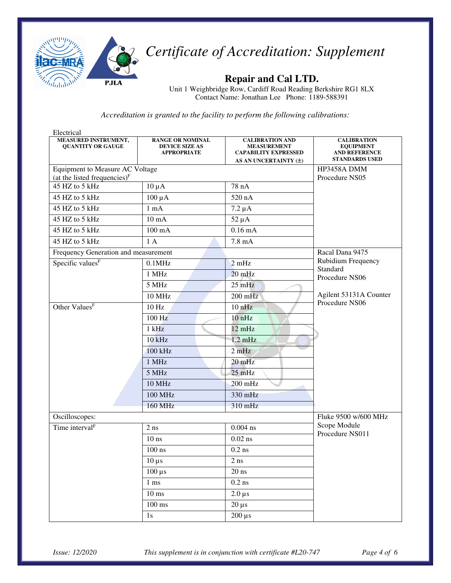

## **Repair and Cal LTD.**

Unit 1 Weighbridge Row, Cardiff Road Reading Berkshire RG1 8LX Contact Name: Jonathan Lee Phone: 1189-588391

| Electrical<br>MEASURED INSTRUMENT,<br><b>QUANTITY OR GAUGE</b> | <b>RANGE OR NOMINAL</b><br><b>DEVICE SIZE AS</b><br><b>APPROPRIATE</b> | <b>CALIBRATION AND</b><br><b>MEASUREMENT</b><br><b>CAPABILITY EXPRESSED</b><br>AS AN UNCERTAINTY (±) | <b>CALIBRATION</b><br><b>EQUIPMENT</b><br><b>AND REFERENCE</b><br><b>STANDARDS USED</b> |
|----------------------------------------------------------------|------------------------------------------------------------------------|------------------------------------------------------------------------------------------------------|-----------------------------------------------------------------------------------------|
| Equipment to Measure AC Voltage                                |                                                                        |                                                                                                      | HP3458A DMM                                                                             |
| (at the listed frequencies) <sup>F</sup>                       | Procedure NS05                                                         |                                                                                                      |                                                                                         |
| 45 HZ to 5 kHz                                                 | $10 \mu A$                                                             | 78 nA                                                                                                |                                                                                         |
| 45 HZ to 5 kHz                                                 | $100 \mu A$                                                            | 520 nA                                                                                               |                                                                                         |
| 45 HZ to 5 kHz                                                 | $1 \text{ mA}$                                                         | $7.2 \mu A$                                                                                          |                                                                                         |
| 45 HZ to 5 kHz                                                 | $10 \text{ mA}$                                                        | $52 \mu A$                                                                                           |                                                                                         |
| 45 HZ to 5 kHz                                                 | $100 \text{ mA}$                                                       | $0.16 \text{ mA}$                                                                                    |                                                                                         |
| 45 HZ to 5 kHz                                                 | 1A                                                                     | $7.8 \text{ mA}$                                                                                     |                                                                                         |
| Frequency Generation and measurement                           |                                                                        |                                                                                                      | Racal Dana 9475                                                                         |
| Specific values <sup>F</sup>                                   | $0.1$ MHz                                                              | 2mHz                                                                                                 | Rubidium Frequency<br>Standard                                                          |
|                                                                | 1 MHz                                                                  | $20$ mHz                                                                                             | Procedure NS06                                                                          |
|                                                                | 5 MHz                                                                  | $25$ mHz                                                                                             |                                                                                         |
|                                                                | <b>10 MHz</b>                                                          | $200$ mHz                                                                                            | Agilent 53131A Counter                                                                  |
| Other Values <sup>F</sup>                                      | 10 Hz                                                                  | $10$ nHz                                                                                             | Procedure NS06                                                                          |
|                                                                | $100$ Hz                                                               | 10nHz                                                                                                |                                                                                         |
|                                                                | $1$ kHz                                                                | 12 mHz                                                                                               |                                                                                         |
|                                                                | $10$ kHz                                                               | $1.2 \text{ mHz}$                                                                                    |                                                                                         |
|                                                                | 100 kHz                                                                | 2mHz                                                                                                 |                                                                                         |
|                                                                | 1 MHz                                                                  | 20 mHz                                                                                               |                                                                                         |
|                                                                | 5 MHz                                                                  | $25$ mHz                                                                                             |                                                                                         |
|                                                                | <b>10 MHz</b>                                                          | $200$ mHz                                                                                            |                                                                                         |
|                                                                | 100 MHz                                                                | 330 mHz                                                                                              |                                                                                         |
|                                                                | <b>160 MHz</b>                                                         | 310 mHz                                                                                              |                                                                                         |
| Oscilloscopes:                                                 |                                                                        |                                                                                                      | Fluke 9500 w/600 MHz                                                                    |
| Time interval <sup>F</sup>                                     | $2$ ns                                                                 | $0.004$ ns                                                                                           | Scope Module<br>Procedure NS011                                                         |
|                                                                | $10$ ns                                                                | $0.02$ ns                                                                                            |                                                                                         |
|                                                                | $100$ ns                                                               | $0.2$ ns                                                                                             |                                                                                         |
|                                                                | $10 \,\mu s$                                                           | $2\ \mathrm{ns}$                                                                                     |                                                                                         |
|                                                                | $100 \,\mu s$                                                          | $20$ ns                                                                                              |                                                                                         |
|                                                                | $1 \text{ ms}$                                                         | $0.2\ \mathrm{ns}$                                                                                   |                                                                                         |
|                                                                | $10 \text{ ms}$                                                        | $2.0 \,\mu s$                                                                                        |                                                                                         |
|                                                                | $100 \text{ ms}$                                                       | $20 \mu s$                                                                                           |                                                                                         |
|                                                                | $1s$                                                                   | $200 \mu s$                                                                                          |                                                                                         |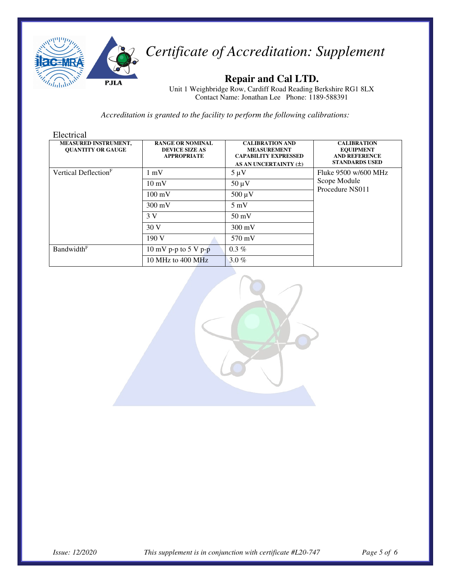

## **Repair and Cal LTD.**

Unit 1 Weighbridge Row, Cardiff Road Reading Berkshire RG1 8LX Contact Name: Jonathan Lee Phone: 1189-588391

| Electrical                                              |                                                                        |                                                                                                      |                                                                                         |
|---------------------------------------------------------|------------------------------------------------------------------------|------------------------------------------------------------------------------------------------------|-----------------------------------------------------------------------------------------|
| <b>MEASURED INSTRUMENT,</b><br><b>OUANTITY OR GAUGE</b> | <b>RANGE OR NOMINAL</b><br><b>DEVICE SIZE AS</b><br><b>APPROPRIATE</b> | <b>CALIBRATION AND</b><br><b>MEASUREMENT</b><br><b>CAPABILITY EXPRESSED</b><br>AS AN UNCERTAINTY (±) | <b>CALIBRATION</b><br><b>EQUIPMENT</b><br><b>AND REFERENCE</b><br><b>STANDARDS USED</b> |
| Vertical Deflection <sup>F</sup>                        | $1 \text{ mV}$                                                         | $5 \mu V$                                                                                            | Fluke 9500 w/600 MHz<br>Scope Module<br>Procedure NS011                                 |
|                                                         | $10 \text{ mV}$                                                        | $50 \mu V$                                                                                           |                                                                                         |
|                                                         | $100 \text{ mV}$                                                       | $500 \mu V$                                                                                          |                                                                                         |
|                                                         | $300 \text{ mV}$                                                       | $5 \text{ mV}$                                                                                       |                                                                                         |
|                                                         | 3 V                                                                    | $50 \text{ mV}$                                                                                      |                                                                                         |
|                                                         | 30V                                                                    | $300 \text{ mV}$                                                                                     |                                                                                         |
|                                                         | 190V                                                                   | 570 mV                                                                                               |                                                                                         |
| <b>Bandwidth</b> <sup>F</sup>                           | 10 mV p-p to 5 V p-p                                                   | $0.3\%$                                                                                              |                                                                                         |
|                                                         | 10 MHz to 400 MHz                                                      | 3.0 $%$                                                                                              |                                                                                         |